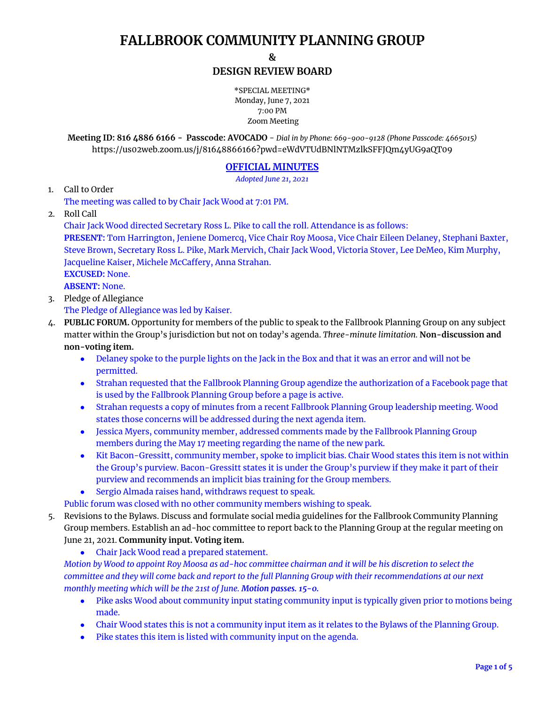# **FALLBROOK COMMUNITY PLANNING GROUP**

**&**

## **DESIGN REVIEW BOARD**

\*SPECIAL MEETING\* Monday, June 7, 2021 7:00 PM Zoom Meeting

**Meeting ID: 816 4886 6166 - Passcode: AVOCADO** - *Dial in by Phone: 669-900-9128 (Phone Passcode: 4665015)* <https://us02web.zoom.us/j/81648866166?pwd=eWdVTUdBNlNTMzlkSFFJQm4yUG9aQT09>

## **OFFICIAL MINUTES**

*Adopted June 21, 2021*

1. Call to Order

The meeting was called to by Chair Jack Wood at 7:01 PM.

2. Roll Call

Chair Jack Wood directed Secretary Ross L. Pike to call the roll. Attendance is as follows:

**PRESENT:** Tom Harrington, Jeniene Domercq, Vice Chair Roy Moosa, Vice Chair Eileen Delaney, Stephani Baxter, Steve Brown, Secretary Ross L. Pike, Mark Mervich, Chair Jack Wood, Victoria Stover, Lee DeMeo, Kim Murphy, Jacqueline Kaiser, Michele McCaffery, Anna Strahan. **EXCUSED:** None.

**ABSENT:** None.

3. Pledge of Allegiance

The Pledge of Allegiance was led by Kaiser.

- 4. **PUBLIC FORUM.** Opportunity for members of the public to speak to the Fallbrook Planning Group on any subject matter within the Group's jurisdiction but not on today's agenda. *Three-minute limitation.* **Non-discussion and non-voting item.**
	- Delaney spoke to the purple lights on the Jack in the Box and that it was an error and will not be permitted.
	- Strahan requested that the Fallbrook Planning Group agendize the authorization of a Facebook page that is used by the Fallbrook Planning Group before a page is active.
	- Strahan requests a copy of minutes from a recent Fallbrook Planning Group leadership meeting. Wood states those concerns will be addressed during the next agenda item.
	- Jessica Myers, community member, addressed comments made by the Fallbrook Planning Group members during the May 17 meeting regarding the name of the new park.
	- Kit Bacon-Gressitt, community member, spoke to implicit bias. Chair Wood states this item is not within the Group's purview. Bacon-Gressitt states it is under the Group's purview if they make it part of their purview and recommends an implicit bias training for the Group members.
	- Sergio Almada raises hand, withdraws request to speak.

Public forum was closed with no other community members wishing to speak.

- 5. Revisions to the Bylaws. Discuss and formulate social media guidelines for the Fallbrook Community Planning Group members. Establish an ad-hoc committee to report back to the Planning Group at the regular meeting on June 21, 2021. **Community input. Voting item.**
	- Chair Jack Wood read a prepared statement.

Motion by Wood to appoint Roy Moosa as ad-hoc committee chairman and it will be his discretion to select the committee and they will come back and report to the full Planning Group with their recommendations at our next *monthly meeting which will be the 21st of June. Motion passes. 15-0.*

- Pike asks Wood about community input stating community input is typically given prior to motions being made.
- Chair Wood states this is not a community input item as it relates to the Bylaws of the Planning Group.
- Pike states this item is listed with community input on the agenda.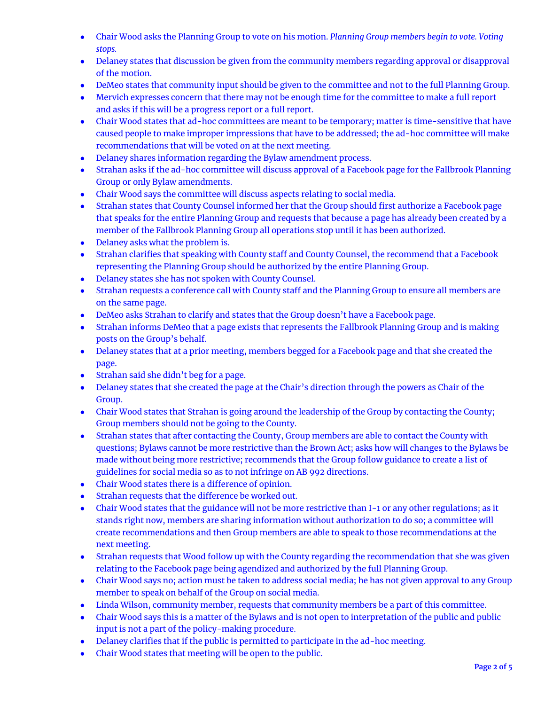- Chair Wood asks the Planning Group to vote on his motion. *Planning Group members begin to vote. Voting stops.*
- Delaney states that discussion be given from the community members regarding approval or disapproval of the motion.
- DeMeo states that community input should be given to the committee and not to the full Planning Group.
- Mervich expresses concern that there may not be enough time for the committee to make a full report and asks if this will be a progress report or a full report.
- Chair Wood states that ad-hoc committees are meant to be temporary; matter is time-sensitive that have caused people to make improper impressions that have to be addressed; the ad-hoc committee will make recommendations that will be voted on at the next meeting.
- Delaney shares information regarding the Bylaw amendment process.
- Strahan asks if the ad-hoc committee will discuss approval of a Facebook page for the Fallbrook Planning Group or only Bylaw amendments.
- Chair Wood says the committee will discuss aspects relating to social media.
- Strahan states that County Counsel informed her that the Group should first authorize a Facebook page that speaks for the entire Planning Group and requests that because a page has already been created by a member of the Fallbrook Planning Group all operations stop until it has been authorized.
- Delaney asks what the problem is.
- Strahan clarifies that speaking with County staff and County Counsel, the recommend that a Facebook representing the Planning Group should be authorized by the entire Planning Group.
- Delaney states she has not spoken with County Counsel.
- Strahan requests a conference call with County staff and the Planning Group to ensure all members are on the same page.
- DeMeo asks Strahan to clarify and states that the Group doesn't have a Facebook page.
- Strahan informs DeMeo that a page exists that represents the Fallbrook Planning Group and is making posts on the Group's behalf.
- Delaney states that at a prior meeting, members begged for a Facebook page and that she created the page.
- Strahan said she didn't beg for a page.
- Delaney states that she created the page at the Chair's direction through the powers as Chair of the Group.
- Chair Wood states that Strahan is going around the leadership of the Group by contacting the County; Group members should not be going to the County.
- Strahan states that after contacting the County, Group members are able to contact the County with questions; Bylaws cannot be more restrictive than the Brown Act; asks how will changes to the Bylaws be made without being more restrictive; recommends that the Group follow guidance to create a list of guidelines for social media so as to not infringe on AB 992 directions.
- Chair Wood states there is a difference of opinion.
- Strahan requests that the difference be worked out.
- Chair Wood states that the guidance will not be more restrictive than I-1 or any other regulations; as it stands right now, members are sharing information without authorization to do so; a committee will create recommendations and then Group members are able to speak to those recommendations at the next meeting.
- Strahan requests that Wood follow up with the County regarding the recommendation that she was given relating to the Facebook page being agendized and authorized by the full Planning Group.
- Chair Wood says no; action must be taken to address social media; he has not given approval to any Group member to speak on behalf of the Group on social media.
- Linda Wilson, community member, requests that community members be a part of this committee.
- Chair Wood says this is a matter of the Bylaws and is not open to interpretation of the public and public input is not a part of the policy-making procedure.
- Delaney clarifies that if the public is permitted to participate in the ad-hoc meeting.
- Chair Wood states that meeting will be open to the public.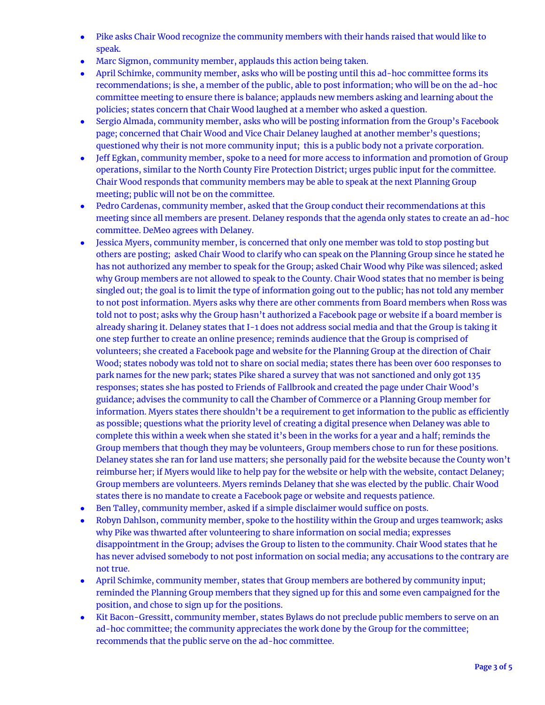- Pike asks Chair Wood recognize the community members with their hands raised that would like to speak.
- Marc Sigmon, community member, applauds this action being taken.
- April Schimke, community member, asks who will be posting until this ad-hoc committee forms its recommendations; is she, a member of the public, able to post information; who will be on the ad-hoc committee meeting to ensure there is balance; applauds new members asking and learning about the policies; states concern that Chair Wood laughed at a member who asked a question.
- Sergio Almada, community member, asks who will be posting information from the Group's Facebook page; concerned that Chair Wood and Vice Chair Delaney laughed at another member's questions; questioned why their is not more community input; this is a public body not a private corporation.
- Jeff Egkan, community member, spoke to a need for more access to information and promotion of Group operations, similar to the North County Fire Protection District; urges public input for the committee. Chair Wood responds that community members may be able to speak at the next Planning Group meeting; public will not be on the committee.
- Pedro Cardenas, community member, asked that the Group conduct their recommendations at this meeting since all members are present. Delaney responds that the agenda only states to create an ad-hoc committee. DeMeo agrees with Delaney.
- Jessica Myers, community member, is concerned that only one member was told to stop posting but others are posting; asked Chair Wood to clarify who can speak on the Planning Group since he stated he has not authorized any member to speak for the Group; asked Chair Wood why Pike was silenced; asked why Group members are not allowed to speak to the County. Chair Wood states that no member is being singled out; the goal is to limit the type of information going out to the public; has not told any member to not post information. Myers asks why there are other comments from Board members when Ross was told not to post; asks why the Group hasn't authorized a Facebook page or website if a board member is already sharing it. Delaney states that I-1 does not address social media and that the Group is taking it one step further to create an online presence; reminds audience that the Group is comprised of volunteers; she created a Facebook page and website for the Planning Group at the direction of Chair Wood; states nobody was told not to share on social media; states there has been over 600 responses to park names for the new park; states Pike shared a survey that was not sanctioned and only got 135 responses; states she has posted to Friends of Fallbrook and created the page under Chair Wood's guidance; advises the community to call the Chamber of Commerce or a Planning Group member for information. Myers states there shouldn't be a requirement to get information to the public as efficiently as possible; questions what the priority level of creating a digital presence when Delaney was able to complete this within a week when she stated it's been in the works for a year and a half; reminds the Group members that though they may be volunteers, Group members chose to run for these positions. Delaney states she ran for land use matters; she personally paid for the website because the County won't reimburse her; if Myers would like to help pay for the website or help with the website, contact Delaney; Group members are volunteers. Myers reminds Delaney that she was elected by the public. Chair Wood states there is no mandate to create a Facebook page or website and requests patience.
- Ben Talley, community member, asked if a simple disclaimer would suffice on posts.
- Robyn Dahlson, community member, spoke to the hostility within the Group and urges teamwork; asks why Pike was thwarted after volunteering to share information on social media; expresses disappointment in the Group; advises the Group to listen to the community. Chair Wood states that he has never advised somebody to not post information on social media; any accusations to the contrary are not true.
- April Schimke, community member, states that Group members are bothered by community input; reminded the Planning Group members that they signed up for this and some even campaigned for the position, and chose to sign up for the positions.
- Kit Bacon-Gressitt, community member, states Bylaws do not preclude public members to serve on an ad-hoc committee; the community appreciates the work done by the Group for the committee; recommends that the public serve on the ad-hoc committee.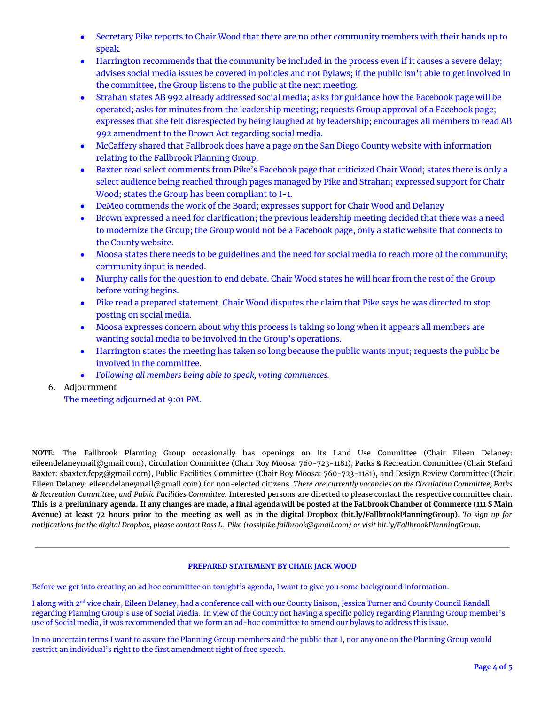- Secretary Pike reports to Chair Wood that there are no other community members with their hands up to speak.
- Harrington recommends that the community be included in the process even if it causes a severe delay; advises social media issues be covered in policies and not Bylaws; if the public isn't able to get involved in the committee, the Group listens to the public at the next meeting.
- Strahan states AB 992 already addressed social media; asks for guidance how the Facebook page will be operated; asks for minutes from the leadership meeting; requests Group approval of a Facebook page; expresses that she felt disrespected by being laughed at by leadership; encourages all members to read AB 992 amendment to the Brown Act regarding social media.
- McCaffery shared that Fallbrook does have a page on the San Diego County website with information relating to the Fallbrook Planning Group.
- Baxter read select comments from Pike's Facebook page that criticized Chair Wood; states there is only a select audience being reached through pages managed by Pike and Strahan; expressed support for Chair Wood; states the Group has been compliant to I-1.
- DeMeo commends the work of the Board; expresses support for Chair Wood and Delaney
- Brown expressed a need for clarification; the previous leadership meeting decided that there was a need to modernize the Group; the Group would not be a Facebook page, only a static website that connects to the County website.
- Moosa states there needs to be guidelines and the need for social media to reach more of the community; community input is needed.
- Murphy calls for the question to end debate. Chair Wood states he will hear from the rest of the Group before voting begins.
- Pike read a prepared statement. Chair Wood disputes the claim that Pike says he was directed to stop posting on social media.
- Moosa expresses concern about why this process is taking so long when it appears all members are wanting social media to be involved in the Group's operations.
- Harrington states the meeting has taken so long because the public wants input; requests the public be involved in the committee.
- *● Following all members being able to speak, voting commences.*
- 6. Adjournment

The meeting adjourned at 9:01 PM.

**NOTE:** The Fallbrook Planning Group occasionally has openings on its Land Use Committee (Chair Eileen Delaney: eileendelaneymail@gmail.com), Circulation Committee (Chair Roy Moosa: 760-723-1181), Parks & Recreation Committee (Chair Stefani Baxter: sbaxter.fcpg@gmail.com), Public Facilities Committee (Chair Roy Moosa: 760-723-1181), and Design Review Committee (Chair Eileen Delaney: eileendelaneymail@gmail.com) for non-elected citizens. *There are currently vacancies on the Circulation Committee, Parks & Recreation Committee, and Public Facilities Committee.* Interested persons are directed to please contact the respective committee chair. This is a preliminary agenda. If any changes are made, a final agenda will be posted at the Fallbrook Chamber of Commerce (111 S Main Avenue) at least 72 hours prior to the meeting as well as in the digital Dropbox (bit.ly/FallbrookPlanningGroup). To sign up for notifications for the digital Dropbox, please contact Ross L. Pike (rosslpike.fallbrook@qmail.com) or visit bit.ly/FallbrookPlanningGroup.

### **PREPARED STATEMENT BY CHAIR JACK WOOD**

Before we get into creating an ad hoc committee on tonight's agenda, I want to give you some background information.

I along with 2<sup>nd</sup> vice chair, Eileen Delaney, had a conference call with our County liaison, Jessica Turner and County Council Randall regarding Planning Group's use of Social Media. In view of the County not having a specific policy regarding Planning Group member's use of Social media, it was recommended that we form an ad-hoc committee to amend our bylaws to address this issue.

In no uncertain terms I want to assure the Planning Group members and the public that I, nor any one on the Planning Group would restrict an individual's right to the first amendment right of free speech.